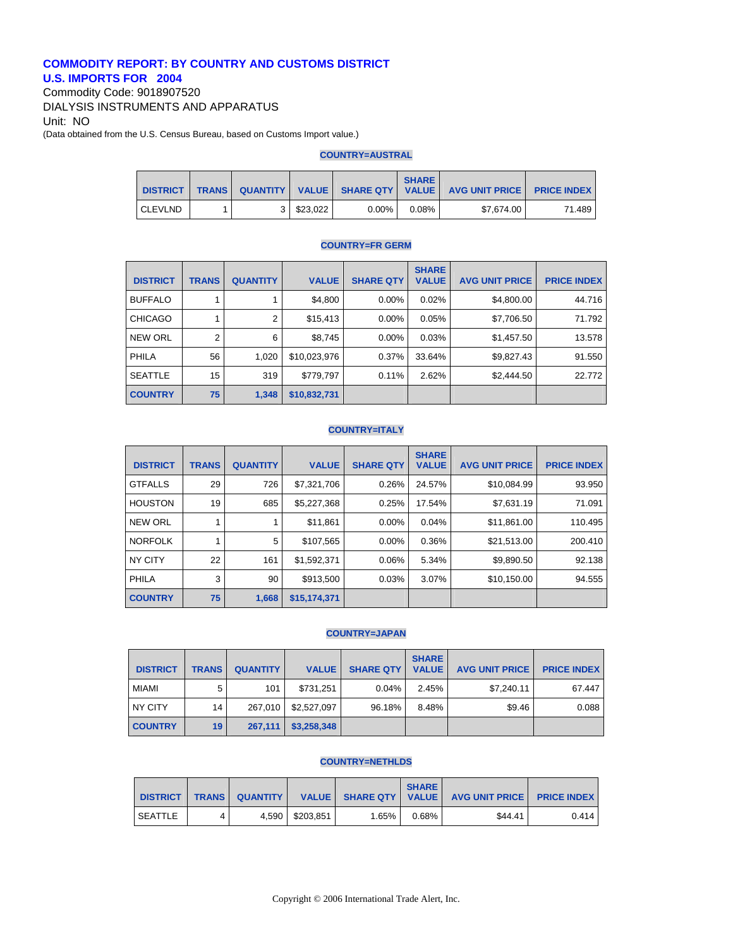# **COMMODITY REPORT: BY COUNTRY AND CUSTOMS DISTRICT U.S. IMPORTS FOR 2004**

Commodity Code: 9018907520 DIALYSIS INSTRUMENTS AND APPARATUS Unit: NO (Data obtained from the U.S. Census Bureau, based on Customs Import value.)

#### **COUNTRY=AUSTRAL**

| <b>DISTRICT</b> | <b>TRANS</b> |          |          | <b>SHARE</b> | QUANTITY   VALUE   SHARE QTY   VALUE   AVG UNIT PRICE   PRICE INDEX |        |
|-----------------|--------------|----------|----------|--------------|---------------------------------------------------------------------|--------|
| <b>CLEVLND</b>  |              | \$23.022 | $0.00\%$ | $0.08\%$     | \$7.674.00                                                          | 71.489 |

## **COUNTRY=FR GERM**

| <b>DISTRICT</b> | <b>TRANS</b>   | <b>QUANTITY</b> | <b>VALUE</b> | <b>SHARE QTY</b> | <b>SHARE</b><br><b>VALUE</b> | <b>AVG UNIT PRICE</b> | <b>PRICE INDEX</b> |
|-----------------|----------------|-----------------|--------------|------------------|------------------------------|-----------------------|--------------------|
| <b>BUFFALO</b>  |                |                 | \$4,800      | $0.00\%$         | 0.02%                        | \$4,800.00            | 44.716             |
| <b>CHICAGO</b>  |                | 2               | \$15,413     | $0.00\%$         | 0.05%                        | \$7,706.50            | 71.792             |
| <b>NEW ORL</b>  | $\overline{2}$ | 6               | \$8,745      | $0.00\%$         | 0.03%                        | \$1,457.50            | 13.578             |
| <b>PHILA</b>    | 56             | 1,020           | \$10,023,976 | 0.37%            | 33.64%                       | \$9,827.43            | 91.550             |
| <b>SEATTLE</b>  | 15             | 319             | \$779,797    | 0.11%            | 2.62%                        | \$2,444.50            | 22.772             |
| <b>COUNTRY</b>  | 75             | 1,348           | \$10,832,731 |                  |                              |                       |                    |

#### **COUNTRY=ITALY**

| <b>DISTRICT</b> | <b>TRANS</b> | <b>QUANTITY</b> | <b>VALUE</b> | <b>SHARE QTY</b> | <b>SHARE</b><br><b>VALUE</b> | <b>AVG UNIT PRICE</b> | <b>PRICE INDEX</b> |
|-----------------|--------------|-----------------|--------------|------------------|------------------------------|-----------------------|--------------------|
| <b>GTFALLS</b>  | 29           | 726             | \$7,321,706  | 0.26%            | 24.57%                       | \$10,084.99           | 93.950             |
| <b>HOUSTON</b>  | 19           | 685             | \$5,227,368  | 0.25%            | 17.54%                       | \$7,631.19            | 71.091             |
| NEW ORL         |              |                 | \$11,861     | $0.00\%$         | 0.04%                        | \$11,861.00           | 110.495            |
| <b>NORFOLK</b>  |              | 5               | \$107,565    | $0.00\%$         | 0.36%                        | \$21,513.00           | 200.410            |
| NY CITY         | 22           | 161             | \$1,592,371  | 0.06%            | 5.34%                        | \$9,890.50            | 92.138             |
| PHILA           | 3            | 90              | \$913,500    | 0.03%            | 3.07%                        | \$10,150.00           | 94.555             |
| <b>COUNTRY</b>  | 75           | 1,668           | \$15,174,371 |                  |                              |                       |                    |

# **COUNTRY=JAPAN**

| <b>DISTRICT</b> | <b>TRANS</b> | <b>QUANTITY</b> | <b>VALUE</b> | <b>SHARE QTY</b> | <b>SHARE</b><br><b>VALUE</b> | <b>AVG UNIT PRICE</b> | <b>PRICE INDEX</b> |
|-----------------|--------------|-----------------|--------------|------------------|------------------------------|-----------------------|--------------------|
| <b>MIAMI</b>    | 5            | 101             | \$731.251    | 0.04%            | 2.45%                        | \$7,240.11            | 67.447             |
| NY CITY         | 14           | 267.010         | \$2,527,097  | 96.18%           | 8.48%                        | \$9.46                | 0.088              |
| <b>COUNTRY</b>  | 19           | 267.111         | \$3,258,348  |                  |                              |                       |                    |

#### **COUNTRY=NETHLDS**

| <b>DISTRICT</b> | <b>TRANS</b> | <b>QUANTITY</b> |           |          | <b>SHARE</b> | VALUE SHARE QTY   VALUE   AVG UNIT PRICE   PRICE INDEX |       |
|-----------------|--------------|-----------------|-----------|----------|--------------|--------------------------------------------------------|-------|
| <b>SEATTLE</b>  | 4            | 4.590           | \$203.851 | $1.65\%$ | 0.68%        | \$44.41                                                | 0.414 |